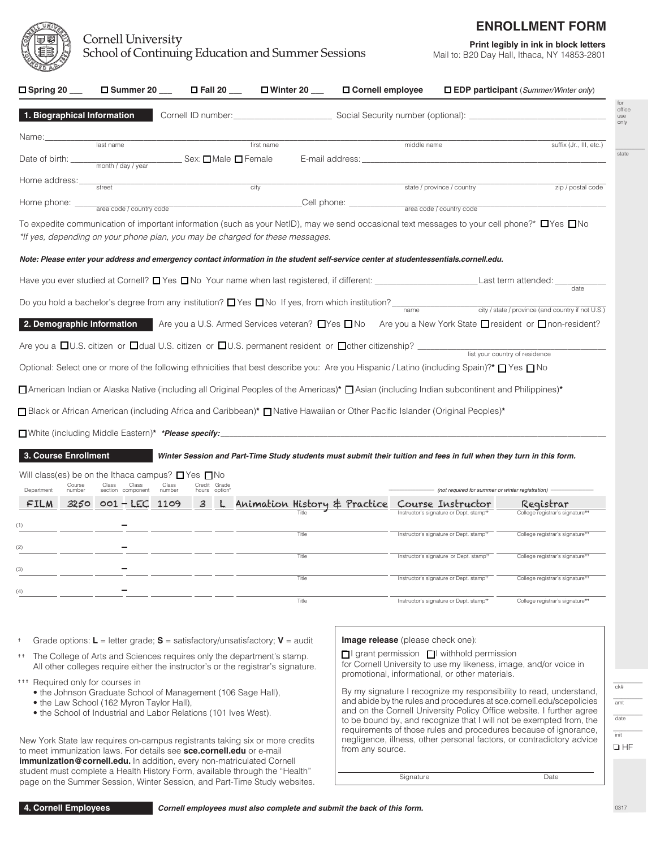

## **Cornell University** School of Continuing Education and Summer Sessions

# **Print legibly in ink in block letters**

Mail to: B20 Day Hall, Ithaca, NY 14853-2801

**ENROLLMENT FORM**

|                                    |                                                                                                                                                         |                 |                               |            |                                                                                                                                                                                                                               |                                                                                                              |                                                  |                                                                                                                                             | $\Box$ EDP participant (Summer/Winter only) |
|------------------------------------|---------------------------------------------------------------------------------------------------------------------------------------------------------|-----------------|-------------------------------|------------|-------------------------------------------------------------------------------------------------------------------------------------------------------------------------------------------------------------------------------|--------------------------------------------------------------------------------------------------------------|--------------------------------------------------|---------------------------------------------------------------------------------------------------------------------------------------------|---------------------------------------------|
| 1. Biographical Information        |                                                                                                                                                         |                 |                               |            |                                                                                                                                                                                                                               |                                                                                                              |                                                  |                                                                                                                                             |                                             |
| Name:                              | last name                                                                                                                                               |                 |                               | first name |                                                                                                                                                                                                                               | middle name                                                                                                  |                                                  | suffix (Jr., III, etc.)                                                                                                                     |                                             |
| Date of birth:                     | month / day / year                                                                                                                                      |                 | _ Sex: <b>□</b> Male ■ Female |            | E-mail address: E-mail and the state of the state of the state of the state of the state of the state of the state of the state of the state of the state of the state of the state of the state of the state of the state of |                                                                                                              |                                                  |                                                                                                                                             |                                             |
| Home address:                      |                                                                                                                                                         |                 |                               |            |                                                                                                                                                                                                                               |                                                                                                              |                                                  |                                                                                                                                             |                                             |
| Home phone:                        | street                                                                                                                                                  |                 | $\overline{city}$             |            | Cell phone: __________                                                                                                                                                                                                        | state / province / country                                                                                   |                                                  | zip / postal code                                                                                                                           |                                             |
|                                    | area code / country code                                                                                                                                |                 |                               |            |                                                                                                                                                                                                                               | area code / country code                                                                                     |                                                  |                                                                                                                                             |                                             |
|                                    | *If yes, depending on your phone plan, you may be charged for these messages.                                                                           |                 |                               |            |                                                                                                                                                                                                                               |                                                                                                              |                                                  | To expedite communication of important information (such as your NetID), may we send occasional text messages to your cell phone?* □Yes □No |                                             |
|                                    |                                                                                                                                                         |                 |                               |            |                                                                                                                                                                                                                               |                                                                                                              |                                                  |                                                                                                                                             |                                             |
|                                    | Note: Please enter your address and emergency contact information in the student self-service center at studentessentials.cornell.edu.                  |                 |                               |            |                                                                                                                                                                                                                               |                                                                                                              |                                                  |                                                                                                                                             |                                             |
|                                    | Have you ever studied at Cornell? $\Box$ Yes $\Box$ No Your name when last registered, if different: _______________________________Last term attended: |                 |                               |            |                                                                                                                                                                                                                               |                                                                                                              |                                                  | date                                                                                                                                        |                                             |
|                                    | Do you hold a bachelor's degree from any institution? $\Box$ Yes $\Box$ No If yes, from which institution?                                              |                 |                               |            |                                                                                                                                                                                                                               | name                                                                                                         |                                                  | city / state / province (and country if not U.S.)                                                                                           |                                             |
|                                    |                                                                                                                                                         |                 |                               |            |                                                                                                                                                                                                                               |                                                                                                              |                                                  | 2. Demographic Information Are you a U.S. Armed Services veteran? Ness ONo Are you a New York State Oresident or Onon-resident?             |                                             |
|                                    |                                                                                                                                                         |                 |                               |            |                                                                                                                                                                                                                               |                                                                                                              |                                                  |                                                                                                                                             |                                             |
|                                    |                                                                                                                                                         |                 |                               |            |                                                                                                                                                                                                                               |                                                                                                              |                                                  |                                                                                                                                             |                                             |
|                                    | Are you a $\Box$ U.S. citizen or $\Box$ dual U.S. citizen or $\Box$ U.S. permanent resident or $\Box$ other citizenship?                                |                 |                               |            |                                                                                                                                                                                                                               |                                                                                                              |                                                  | list your country of residence                                                                                                              |                                             |
|                                    | Optional: Select one or more of the following ethnicities that best describe you: Are you Hispanic / Latino (including Spain)?* [Yes ] No               |                 |                               |            |                                                                                                                                                                                                                               |                                                                                                              |                                                  |                                                                                                                                             |                                             |
|                                    | □ American Indian or Alaska Native (including all Original Peoples of the Americas)* □ Asian (including Indian subcontinent and Philippines)*           |                 |                               |            |                                                                                                                                                                                                                               |                                                                                                              |                                                  |                                                                                                                                             |                                             |
|                                    |                                                                                                                                                         |                 |                               |            |                                                                                                                                                                                                                               |                                                                                                              |                                                  |                                                                                                                                             |                                             |
|                                    | □ Black or African American (including Africa and Caribbean)* □ Native Hawaiian or Other Pacific Islander (Original Peoples)*                           |                 |                               |            |                                                                                                                                                                                                                               |                                                                                                              |                                                  |                                                                                                                                             |                                             |
|                                    |                                                                                                                                                         |                 |                               |            |                                                                                                                                                                                                                               |                                                                                                              |                                                  |                                                                                                                                             |                                             |
|                                    |                                                                                                                                                         |                 |                               |            |                                                                                                                                                                                                                               |                                                                                                              |                                                  | Winter Session and Part-Time Study students must submit their tuition and fees in full when they turn in this form.                         |                                             |
|                                    | Will class(es) be on the Ithaca campus? $\Box$ Yes $\Box$ No                                                                                            |                 |                               |            |                                                                                                                                                                                                                               |                                                                                                              |                                                  |                                                                                                                                             |                                             |
| Course<br>number                   | Class<br>Class<br>section component                                                                                                                     | Class<br>number | Credit Grade<br>hours option  |            |                                                                                                                                                                                                                               |                                                                                                              | (not required for summer or winter registration) |                                                                                                                                             |                                             |
| 3250<br>FILM                       | $001 - LEC$ 1109                                                                                                                                        |                 |                               |            |                                                                                                                                                                                                                               | 3 L. Animation History $#$ Practice Course Instructor<br>Instructor's signature or Dept. stamp <sup>++</sup> |                                                  | Registrar<br>College registrar's signature <sup>***</sup>                                                                                   |                                             |
|                                    |                                                                                                                                                         |                 |                               |            |                                                                                                                                                                                                                               |                                                                                                              |                                                  |                                                                                                                                             |                                             |
| 3. Course Enrollment<br>Department |                                                                                                                                                         |                 |                               | Title      |                                                                                                                                                                                                                               | Instructor's signature or Dept. stamp <sup>++</sup>                                                          |                                                  | College registrar's signature***                                                                                                            |                                             |
|                                    |                                                                                                                                                         |                 |                               | Title      |                                                                                                                                                                                                                               | Instructor's signature or Dept. stamp <sup>++</sup>                                                          |                                                  | College registrar's signature <sup>***</sup>                                                                                                |                                             |
|                                    |                                                                                                                                                         |                 |                               | Title      |                                                                                                                                                                                                                               | Instructor's signature or Dept. stamp <sup>++</sup>                                                          |                                                  | College registrar's signature***                                                                                                            |                                             |

- the Johnson Graduate School of Management (106 Sage Hall),
- the Law School (162 Myron Taylor Hall),
- the School of Industrial and Labor Relations (101 Ives West).

New York State law requires on-campus registrants taking six or more credits to meet immunization laws. For details see **sce.cornell.edu** or e-mail **immunization@cornell.edu.** In addition, every non-matriculated Cornell student must complete a Health History Form, available through the "Health" page on the Summer Session, Winter Session, and Part-Time Study websites. By my signature I recognize my responsibility to read, understand, and abide by the rules and procedures at sce.cornell.edu/scepolicies and on the Cornell University Policy Office website. I further agree to be bound by, and recognize that I will not be exempted from, the requirements of those rules and procedures because of ignorance, negligence, illness, other personal factors, or contradictory advice from any source.

Signature Date

0317

 $\overline{\phantom{a}}$  $\overline{\phantom{a}}$  $\overline{\phantom{a}}$ 

amt date init

o HF